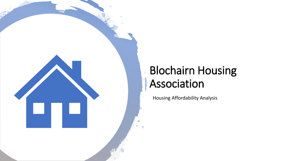

### Blochairn Housing Association

Housing Affordability Analysis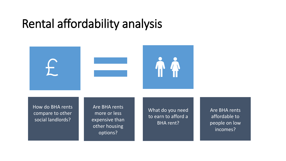### Rental affordability analysis



How do BHA rents compare to other social landlords?

Are BHA rents more or less expensive than other housing options?

What do you need to earn to afford a BHA rent?

Are BHA rents affordable to people on low incomes?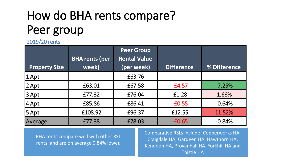# How do BHA rents compare? Peer group

2019/20 rents

| <b>Property Size</b> | <b>BHA rents (per</b><br>week) | <b>Peer Group</b><br><b>Rental Value</b><br>(per week) | <b>Difference</b> | <b>% Difference</b> |
|----------------------|--------------------------------|--------------------------------------------------------|-------------------|---------------------|
| $1$ Apt              |                                | £63.76                                                 |                   |                     |
| $2$ Apt              | £63.01                         | £67.58                                                 | $-E4.57$          | $-7.25%$            |
| $3$ Apt              | £77.32                         | £76.04                                                 | £1.28             | 1.66%               |
| $4$ Apt              | £85.86                         | £86.41                                                 | $-£0.55$          | $-0.64%$            |
| $5$ Apt              | £108.92                        | £96.37                                                 | £12.55            | 11.52%              |
| Average              | £77.38                         | £78.03                                                 | $-£0.65$          | $-0.84%$            |

BHA rents compare well with other RSL rents, and are on average 0.84% lower.

Comparative RSLs include: Copperworks HA, Craigdale HA, Gardeen HA, Hawthorn HA, Kendoon HA, Provanhall HA, Yorkhill HA and Thistle HA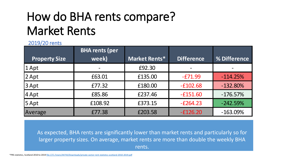## How do BHA rents compare? Market Rents

#### 2019/20 rents

| <b>Property Size</b> | <b>BHA rents (per</b><br>week) | Market Rents* | <b>Difference</b> | % Difference |
|----------------------|--------------------------------|---------------|-------------------|--------------|
| $1$ Apt              |                                | £92.30        |                   |              |
| $2$ Apt              | £63.01                         | £135.00       | $-E71.99$         | $-114.25%$   |
|                      |                                |               |                   |              |
| $3$ Apt              | £77.32                         | £180.00       | $-£102.68$        | $-132.80%$   |
| $4$ Apt              | £85.86                         | £237.46       | $-£151.60$        | $-176.57%$   |
| $5$ Apt              | £108.92                        | £373.15       | $-E264.23$        | $-242.59%$   |
| Average              | £77.38                         | £203.58       | $-E126.20$        | $-163.09%$   |

As expected, BHA rents are significantly lower than market rents and particularly so for larger property sizes. On average, market rents are more than double the weekly BHA rents.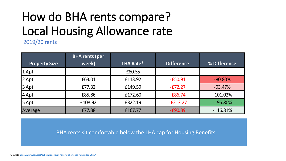# How do BHA rents compare? Local Housing Allowance rate

2019/20 rents

|                      | <b>BHA rents (per</b> |           |                   |              |
|----------------------|-----------------------|-----------|-------------------|--------------|
| <b>Property Size</b> | week)                 | LHA Rate* | <b>Difference</b> | % Difference |
| 1 Apt                |                       | £80.55    |                   |              |
| 2 Apt                | £63.01                | £113.92   | $-£50.91$         | $-80.80\%$   |
| 3 Apt                | £77.32                | £149.59   | $-E72.27$         | $-93.47%$    |
| $4$ Apt              | £85.86                | £172.60   | $-E86.74$         | $-101.02\%$  |
| 5 Apt                | £108.92               | £322.19   | $-E213.27$        | $-195.80\%$  |
| Average              | £77.38                | £167.77   | $-E90.39$         | $-116.81%$   |

BHA rents sit comfortable below the LHA cap for Housing Benefits.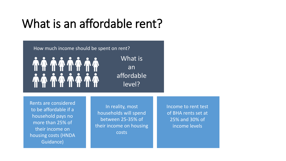### What is an affordable rent?

How much income should be spent on rent?

T T T T T T T *MA 14 14 14* 

What is an affordable level?

Rents are considered to be affordable if a household pays no more than 25% of their income on housing costs (HNDA Guidance)

In reality, most households will spend between 25-35% of their income on housing costs

Income to rent test of BHA rents set at 25% and 30% of income levels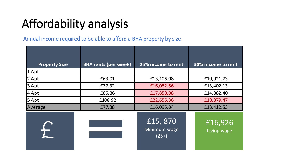# Affordability analysis

Annual income required to be able to afford a BHA property by size

| <b>Property Size</b> | <b>BHA rents (per week)</b> | 25% income to rent                 | 30% income to rent     |
|----------------------|-----------------------------|------------------------------------|------------------------|
| $1$ Apt              |                             |                                    |                        |
| 2 Apt                | £63.01                      | £13,106.08                         | £10,921.73             |
| 3 Apt                | £77.32                      | £16,082.56                         | £13,402.13             |
| 4 Apt                | £85.86                      | £17,858.88                         | £14,882.40             |
| $5$ Apt              | £108.92                     | £22,655.36                         | £18,879.47             |
| Average              | £77.38                      | £16,095.04                         | £13,412.53             |
|                      |                             | £15,870<br>Minimum wage<br>$(25+)$ | £16,926<br>Living wage |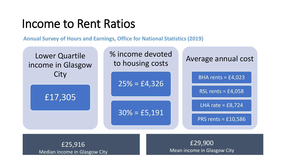#### Income to Rent Ratios

**Annual Survey of Hours and Earnings, Office for National Statistics (2019)**



£25,916 Median income in Glasgow City

£29,900 Mean income in Glasgow City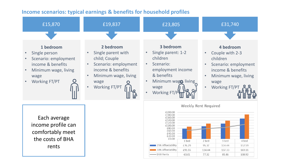#### **Income scenarios: typical earnings & benefits for household profiles**



BHA Rents

63.01

77.32

85.86

108.92